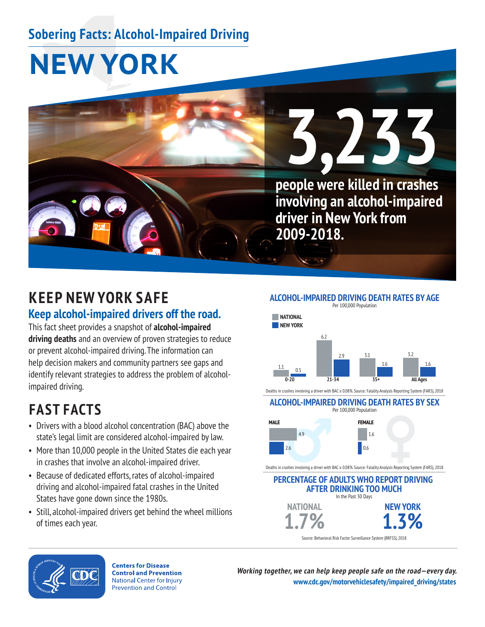## **Sobering Facts: Alcohol-Impaired Driving**

# **NEW YORK**



### **KEEP NEW YORK SAFE Keep alcohol-impaired drivers off the road.**

This fact sheet provides a snapshot of **alcohol-impaired driving deaths** and an overview of proven strategies to reduce or prevent alcohol-impaired driving. The information can help decision makers and community partners see gaps and identify relevant strategies to address the problem of alcoholimpaired driving.

### **FAST FACTS**

- Drivers with a blood alcohol concentration (BAC) above the state's legal limit are considered alcohol-impaired by law.
- More than 10,000 people in the United States die each year in crashes that involve an alcohol-impaired driver.
- Because of dedicated efforts, rates of alcohol-impaired driving and alcohol-impaired fatal crashes in the United States have gone down since the 1980s.
- Still, alcohol-impaired drivers get behind the wheel millions of times each year.



#### **ALCOHOL-IMPAIRED DRIVING DEATH RATES BY SEX**



Deaths in crashes involving a driver with BAC ≥ 0.08%. Source: Fatality Analysis Reporting System (FARS), 2018

#### **PERCENTAGE OF ADULTS WHO REPORT DRIVING AFTER DRINKING TOO MUCH NEW YORK NATIONAL** Source: Behavioral Risk Factor Surveillance System (BRFSS), 2018



**Centers for Disease Control and Prevention National Center for Injury Prevention and Control** 

**Working together, we can help keep people safe on the road—every day. [www.cdc.gov/motorvehiclesafety/impaired\\_driving/states](https://www.cdc.gov/motorvehiclesafety/impaired_driving/states.html)**